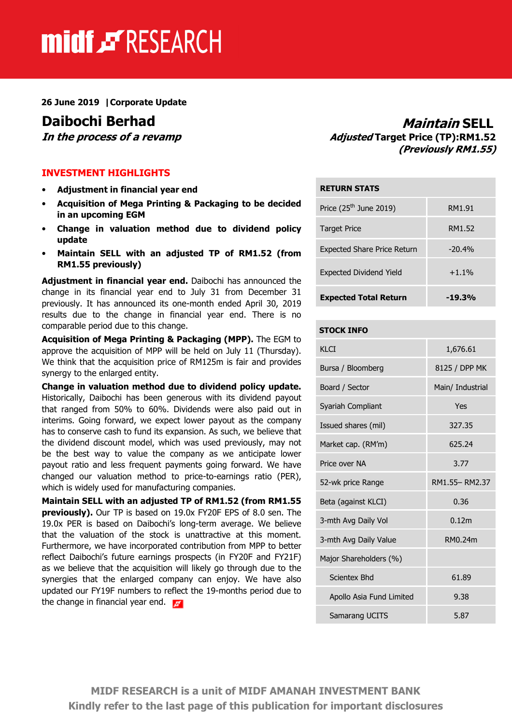# midf & RESEARCH

26 June 2019 |Corporate Update

#### INVESTMENT HIGHLIGHTS

- Adjustment in financial year end
- Acquisition of Mega Printing & Packaging to be decided in an upcoming EGM
- Change in valuation method due to dividend policy update
- Maintain SELL with an adjusted TP of RM1.52 (from RM1.55 previously)

Adjustment in financial year end. Daibochi has announced the change in its financial year end to July 31 from December 31 previously. It has announced its one-month ended April 30, 2019 results due to the change in financial year end. There is no comparable period due to this change.

Acquisition of Mega Printing & Packaging (MPP). The EGM to approve the acquisition of MPP will be held on July 11 (Thursday). We think that the acquisition price of RM125m is fair and provides synergy to the enlarged entity.

Change in valuation method due to dividend policy update. Historically, Daibochi has been generous with its dividend payout that ranged from 50% to 60%. Dividends were also paid out in interims. Going forward, we expect lower payout as the company has to conserve cash to fund its expansion. As such, we believe that the dividend discount model, which was used previously, may not be the best way to value the company as we anticipate lower payout ratio and less frequent payments going forward. We have changed our valuation method to price-to-earnings ratio (PER), which is widely used for manufacturing companies.

Maintain SELL with an adjusted TP of RM1.52 (from RM1.55 previously). Our TP is based on 19.0x FY20F EPS of 8.0 sen. The 19.0x PER is based on Daibochi's long-term average. We believe that the valuation of the stock is unattractive at this moment. Furthermore, we have incorporated contribution from MPP to better reflect Daibochi's future earnings prospects (in FY20F and FY21F) as we believe that the acquisition will likely go through due to the synergies that the enlarged company can enjoy. We have also updated our FY19F numbers to reflect the 19-months period due to the change in financial year end.

**Daibochi Berhad** Maintain SELL<br>In the process of a revamp Maintain SELL Adjusted Target Price (TP):RM1.52 Adjusted Target Price (TP):RM1.52 (Previously RM1.55)

| <b>RETURN STATS</b>                |          |
|------------------------------------|----------|
| Price $(25th$ June 2019)           | RM1.91   |
| <b>Target Price</b>                | RM1.52   |
| <b>Expected Share Price Return</b> | $-20.4%$ |
| <b>Expected Dividend Yield</b>     | $+1.1%$  |
| <b>Expected Total Return</b>       | $-19.3%$ |

#### STOCK INFO

| KLCI                     | 1,676.61         |  |
|--------------------------|------------------|--|
| Bursa / Bloomberg        | 8125 / DPP MK    |  |
| Board / Sector           | Main/ Industrial |  |
| Syariah Compliant        | Yes              |  |
| Issued shares (mil)      | 327.35           |  |
| Market cap. (RM'm)       | 625.24           |  |
| Price over NA            | 3.77             |  |
| 52-wk price Range        | RM1.55-RM2.37    |  |
| Beta (against KLCI)      | 0.36             |  |
| 3-mth Avg Daily Vol      | 0.12m            |  |
| 3-mth Avg Daily Value    | RM0.24m          |  |
| Major Shareholders (%)   |                  |  |
| <b>Scientex Bhd</b>      | 61.89            |  |
| Apollo Asia Fund Limited | 9.38             |  |
| Samarang UCITS           | 5.87             |  |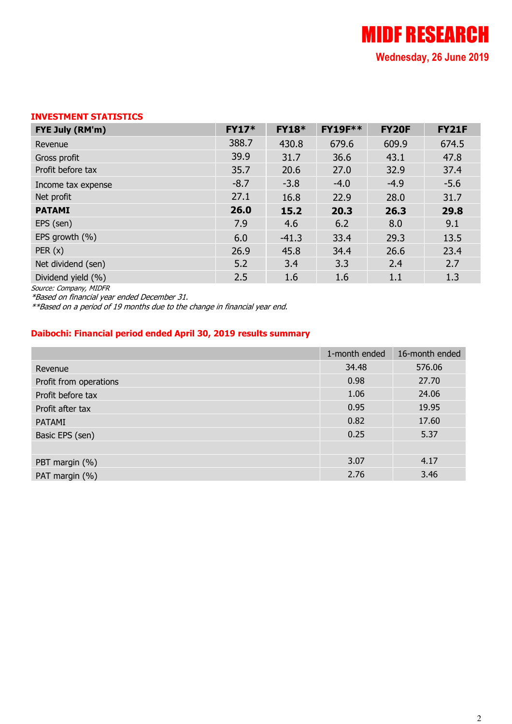### INVESTMENT STATISTICS

| FYE July (RM'm)    | <b>FY17*</b> | <b>FY18*</b> | <b>FY19F**</b> | <b>FY20F</b> | <b>FY21F</b> |
|--------------------|--------------|--------------|----------------|--------------|--------------|
| Revenue            | 388.7        | 430.8        | 679.6          | 609.9        | 674.5        |
| Gross profit       | 39.9         | 31.7         | 36.6           | 43.1         | 47.8         |
| Profit before tax  | 35.7         | 20.6         | 27.0           | 32.9         | 37.4         |
| Income tax expense | $-8.7$       | $-3.8$       | $-4.0$         | $-4.9$       | $-5.6$       |
| Net profit         | 27.1         | 16.8         | 22.9           | 28.0         | 31.7         |
| <b>PATAMI</b>      | 26.0         | 15.2         | 20.3           | 26.3         | 29.8         |
| EPS (sen)          | 7.9          | 4.6          | 6.2            | 8.0          | 9.1          |
| EPS growth (%)     | 6.0          | $-41.3$      | 33.4           | 29.3         | 13.5         |
| PER(x)             | 26.9         | 45.8         | 34.4           | 26.6         | 23.4         |
| Net dividend (sen) | 5.2          | 3.4          | 3.3            | 2.4          | 2.7          |
| Dividend yield (%) | 2.5          | 1.6          | 1.6            | 1.1          | 1.3          |

Source: Company, MIDFR

\*Based on financial year ended December 31.

\*\*Based on a period of 19 months due to the change in financial year end.

#### Daibochi: Financial period ended April 30, 2019 results summary

|                        | 1-month ended | 16-month ended |
|------------------------|---------------|----------------|
| Revenue                | 34.48         | 576.06         |
| Profit from operations | 0.98          | 27.70          |
| Profit before tax      | 1.06          | 24.06          |
| Profit after tax       | 0.95          | 19.95          |
| PATAMI                 | 0.82          | 17.60          |
| Basic EPS (sen)        | 0.25          | 5.37           |
|                        |               |                |
| PBT margin (%)         | 3.07          | 4.17           |
| PAT margin (%)         | 2.76          | 3.46           |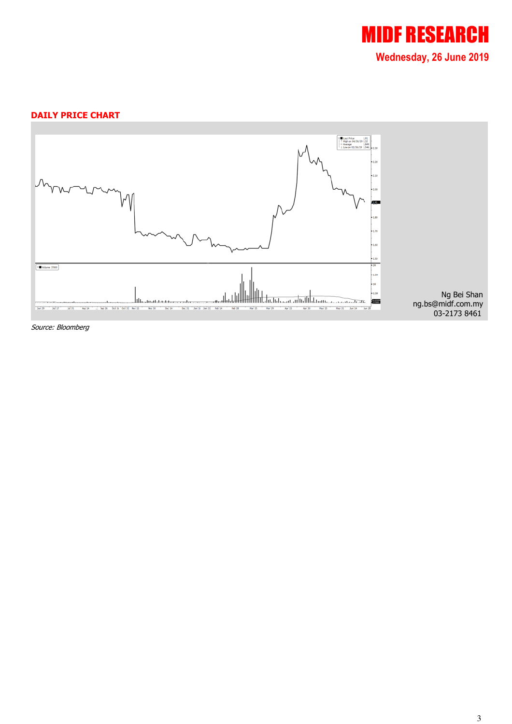

#### DAILY PRICE CHART



Source: Bloomberg